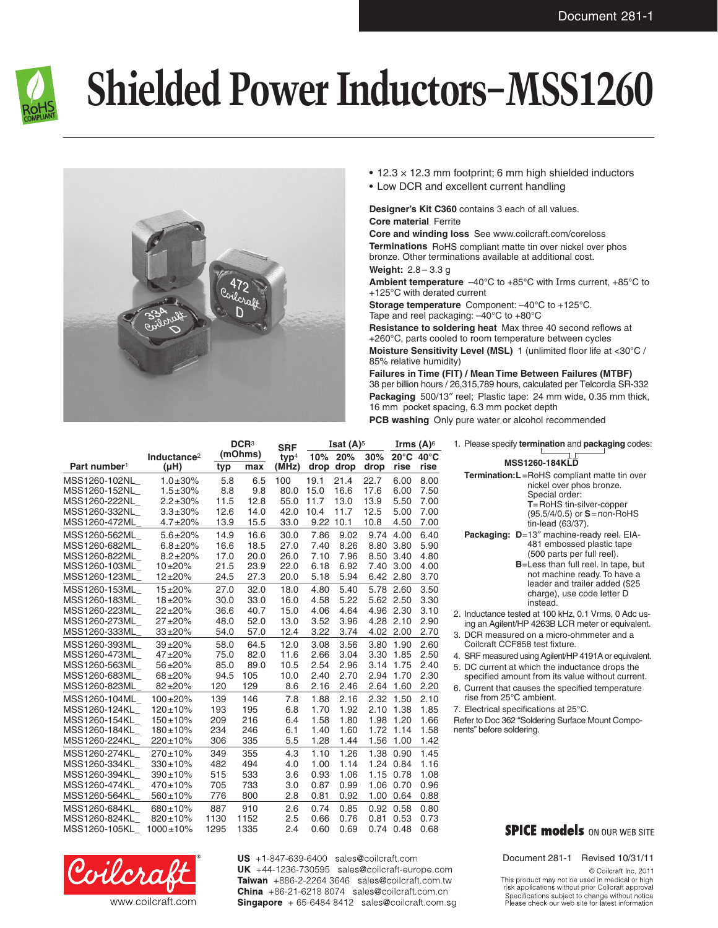

## **Shielded Power Inductors–MSS1260**



- $\cdot$  12.3  $\times$  12.3 mm footprint; 6 mm high shielded inductors
- • Low DCR and excellent current handling

## **Designer's Kit C360** contains 3 each of all values. **Core material** Ferrite

**Core and winding loss** See www.coilcraft.com/coreloss **Terminations** RoHS compliant matte tin over nickel over phos bronze. Other terminations available at additional cost.

**Weight:** 2.8– 3.3 g

**Ambient temperature** –40°C to +85°C with Irms current, +85°C to +125°C with derated current

**Storage temperature** Component: –40°C to +125°C. Tape and reel packaging: –40°C to +80°C

**Resistance to soldering heat** Max three 40 second reflows at +260°C, parts cooled to room temperature between cycles **Moisture Sensitivity Level (MSL)** 1 (unlimited floor life at <30°C / 85% relative humidity)

**Failures in Time (FIT) / Mean Time Between Failures (MTBF)** 38 per billion hours / 26,315,789 hours, calculated per Telcordia SR-332 **Packaging** 500/13″ reel; Plastic tape: 24 mm wide, 0.35 mm thick, 16 mm pocket spacing, 6.3 mm pocket depth

**PCB washing** Only pure water or alcohol recommended

|                          |                         |      | DCR <sup>3</sup> |                                | <b>Isat <math>(A)^5</math></b> |           |      | Irms $(A)$ <sup>6</sup> |      |
|--------------------------|-------------------------|------|------------------|--------------------------------|--------------------------------|-----------|------|-------------------------|------|
|                          | Inductance <sup>2</sup> |      | (mOhms)          | <b>SRF</b><br>typ <sup>4</sup> | 10%                            | 20%       | 30%  | 20°C 40°C               |      |
| Part number <sup>1</sup> | $(\mu H)$               | typ  | max              | (MHz)                          |                                | drop drop | drop | rise                    | rise |
| MSS1260-102NL            | $1.0 \pm 30\%$          | 5.8  | 6.5              | 100                            | 19.1                           | 21.4      | 22.7 | 6.00                    | 8.00 |
| MSS1260-152NL            | $1.5 \pm 30\%$          | 8.8  | 9.8              | 80.0                           | 15.0                           | 16.6      | 17.6 | 6.00                    | 7.50 |
| MSS1260-222NL_           | $2.2 \pm 30\%$          | 11.5 | 12.8             | 55.0                           | 11.7                           | 13.0      | 13.9 | 5.50                    | 7.00 |
| MSS1260-332NL            | $3.3 + 30\%$            | 12.6 | 14.0             | 42.0                           | 10.4                           | 11.7      | 12.5 | 5.00                    | 7.00 |
| MSS1260-472ML            | $4.7 + 20%$             | 13.9 | 15.5             | 33.0                           | 9.22                           | 10.1      | 10.8 | 4.50                    | 7.00 |
| MSS1260-562ML            | $5.6 \pm 20\%$          | 14.9 | 16.6             | 30.0                           | 7.86                           | 9.02      | 9.74 | 4.00                    | 6.40 |
| MSS1260-682ML            | $6.8 + 20\%$            | 16.6 | 18.5             | 27.0                           | 7.40                           | 8.26      | 8.80 | 3.80                    | 5.90 |
| MSS1260-822ML            | $8.2 + 20%$             | 17.0 | 20.0             | 26.0                           | 7.10                           | 7.96      | 8.50 | 3.40                    | 4.80 |
| MSS1260-103ML            | $10 + 20%$              | 21.5 | 23.9             | 22.0                           | 6.18                           | 6.92      | 7.40 | 3.00                    | 4.00 |
| MSS1260-123ML            | $12 + 20%$              | 24.5 | 27.3             | 20.0                           | 5.18                           | 5.94      | 6.42 | 2.80                    | 3.70 |
| MSS1260-153ML            | $15 + 20%$              | 27.0 | 32.0             | 18.0                           | 4.80                           | 5.40      | 5.78 | 2.60                    | 3.50 |
| MSS1260-183ML            | $18 + 20%$              | 30.0 | 33.0             | 16.0                           | 4.58                           | 5.22      |      | 5.62 2.50               | 3.30 |
| MSS1260-223ML            | $22 + 20%$              | 36.6 | 40.7             | 15.0                           | 4.06                           | 4.64      |      | 4.96 2.30               | 3.10 |
| MSS1260-273ML            | $27 + 20%$              | 48.0 | 52.0             | 13.0                           | 3.52                           | 3.96      | 4.28 | 2.10                    | 2.90 |
| MSS1260-333ML            | $33 + 20%$              | 54.0 | 57.0             | 12.4                           | 3.22                           | 3.74      |      | 4.02 2.00               | 2.70 |
| MSS1260-393ML            | $39 + 20%$              | 58.0 | 64.5             | 12.0                           | 3.08                           | 3.56      | 3.80 | 1.90                    | 2.60 |
| MSS1260-473ML            | $47 + 20%$              | 75.0 | 82.0             | 11.6                           | 2.66                           | 3.04      | 3.30 | 1.85                    | 2.50 |
| MSS1260-563ML            | $56 + 20%$              | 85.0 | 89.0             | 10.5                           | 2.54                           | 2.96      | 3.14 | 1.75                    | 2.40 |
| MSS1260-683ML            | 68±20%                  | 94.5 | 105              | 10.0                           | 2.40                           | 2.70      | 2.94 | 1.70                    | 2.30 |
| MSS1260-823ML            | $82 + 20%$              | 120  | 129              | 8.6                            | 2.16                           | 2.46      | 2.64 | 1.60                    | 2.20 |
| MSS1260-104ML            | $100 + 20%$             | 139  | 146              | 7.8                            | 1.88                           | 2.16      | 2.32 | 1.50                    | 2.10 |
| MSS1260-124KL            | $120 \pm 10\%$          | 193  | 195              | 6.8                            | 1.70                           | 1.92      | 2.10 | 1.38                    | 1.85 |
| MSS1260-154KL            | $150 \pm 10\%$          | 209  | 216              | 6.4                            | 1.58                           | 1.80      | 1.98 | 1.20                    | 1.66 |
| MSS1260-184KL            | $180 \pm 10\%$          | 234  | 246              | 6.1                            | 1.40                           | 1.60      | 1.72 | 1.14                    | 1.58 |
| MSS1260-224KL            | $220 \pm 10\%$          | 306  | 335              | 5.5                            | 1.28                           | 1.44      | 1.56 | 1.00                    | 1.42 |
| MSS1260-274KL            | $270 \pm 10\%$          | 349  | 355              | 4.3                            | 1.10                           | 1.26      | 1.38 | 0.90                    | 1.45 |
| MSS1260-334KL            | $330 \pm 10\%$          | 482  | 494              | 4.0                            | 1.00                           | 1.14      | 1.24 | 0.84                    | 1.16 |
| MSS1260-394KL            | 390±10%                 | 515  | 533              | 3.6                            | 0.93                           | 1.06      | 1.15 | 0.78                    | 1.08 |
| MSS1260-474KL            | $470 \pm 10\%$          | 705  | 733              | 3.0                            | 0.87                           | 0.99      | 1.06 | 0.70                    | 0.96 |
| MSS1260-564KL            | 560±10%                 | 776  | 800              | 2.8                            | 0.81                           | 0.92      | 1.00 | 0.64                    | 0.88 |
| MSS1260-684KL            | $680 \pm 10\%$          | 887  | 910              | 2.6                            | 0.74                           | 0.85      | 0.92 | 0.58                    | 0.80 |
| MSS1260-824KL            | 820±10%                 | 1130 | 1152             | 2.5                            | 0.66                           | 0.76      | 0.81 | 0.53                    | 0.73 |
| MSS1260-105KL            | $1000 \pm 10\%$         | 1295 | 1335             | 2.4                            | 0.60                           | 0.69      |      | 0.74 0.48               | 0.68 |



US +1-847-639-6400 sales@coilcraft.com UK +44-1236-730595 sales@coilcraft-europe.com Taiwan +886-2-2264 3646 sales@coilcraft.com.tw China +86-21-6218 8074 sales@coilcraft.com.cn **Singapore**  $+65-64848412$  sales@coilcraft.com.sg

|                                                     | <b>MSS1260-184KLD</b>                                                                                    |  |  |  |  |  |
|-----------------------------------------------------|----------------------------------------------------------------------------------------------------------|--|--|--|--|--|
| <b>Termination:L</b> =RoHS compliant matte tin over |                                                                                                          |  |  |  |  |  |
|                                                     | nickel over phos bronze.<br>Special order:                                                               |  |  |  |  |  |
|                                                     | $T =$ RoHS tin-silver-copper                                                                             |  |  |  |  |  |
|                                                     | $(95.5/4/0.5)$ or $S =$ non-RoHS                                                                         |  |  |  |  |  |
|                                                     | tin-lead (63/37).                                                                                        |  |  |  |  |  |
|                                                     | Packaging: D=13" machine-ready reel. EIA-                                                                |  |  |  |  |  |
|                                                     | 481 embossed plastic tape                                                                                |  |  |  |  |  |
|                                                     | (500 parts per full reel).                                                                               |  |  |  |  |  |
|                                                     | <b>B</b> =Less than full reel. In tape, but                                                              |  |  |  |  |  |
|                                                     | not machine ready. To have a                                                                             |  |  |  |  |  |
|                                                     | leader and trailer added (\$25                                                                           |  |  |  |  |  |
|                                                     | charge), use code letter D                                                                               |  |  |  |  |  |
|                                                     | instead.                                                                                                 |  |  |  |  |  |
|                                                     | 2. Inductance tested at 100 kHz, 0.1 Vrms, 0 Adc us-<br>ing an Agilent/HP 4263B LCR meter or equivalent. |  |  |  |  |  |
|                                                     |                                                                                                          |  |  |  |  |  |

1. Please specify **termination** and **packaging** codes:

- 3. DCR measured on a micro-ohmmeter and a Coilcraft CCF858 test fixture.
- 4. SRF measured using Agilent/HP 4191A or equivalent. 5. DC current at which the inductance drops the
- specified amount from its value without current.
- 6. Current that causes the specified temperature rise from 25°C ambient.
- 7. Electrical specifications at 25°C.

Refer to Doc 362 "Soldering Surface Mount Components" before soldering.

## **SPICE models** ON OUR WEB SITE

Document 281-1 Revised 10/31/11 © Coilcraft Inc. 2011

This product may not be used in medical or high risk applications without prior Coilcraft approval. Specifications subject to change without notice.<br>Please check our web site for latest information.